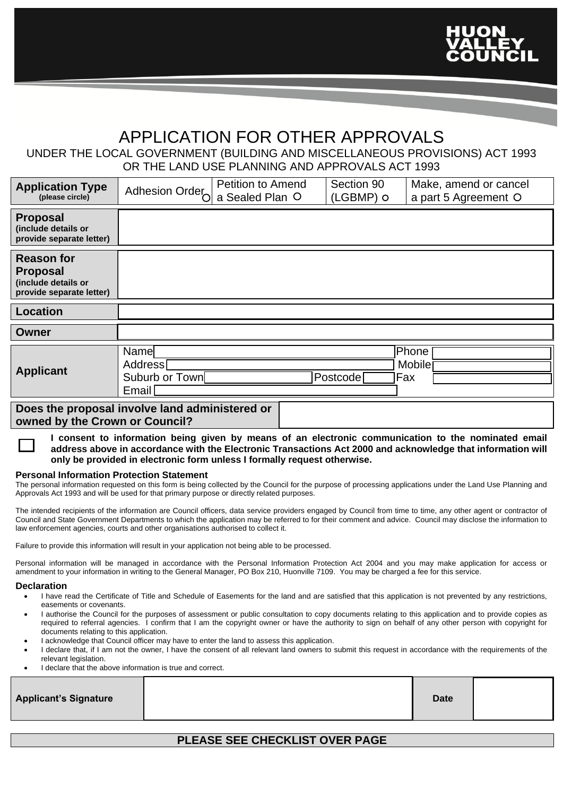

# APPLICATION FOR OTHER APPROVALS

### UNDER THE LOCAL GOVERNMENT (BUILDING AND MISCELLANEOUS PROVISIONS) ACT 1993 OR THE LAND USE PLANNING AND APPROVALS ACT 1993

| <b>Application Type</b><br>(please circle)                                                                                                                                                                         | Adhesion Order                               | <b>Petition to Amend</b><br>a Sealed Plan O |  | Section 90<br>(LGBMP) O | Make, amend or cancel<br>a part 5 Agreement O |  |
|--------------------------------------------------------------------------------------------------------------------------------------------------------------------------------------------------------------------|----------------------------------------------|---------------------------------------------|--|-------------------------|-----------------------------------------------|--|
| <b>Proposal</b><br>(include details or<br>provide separate letter)                                                                                                                                                 |                                              |                                             |  |                         |                                               |  |
| <b>Reason for</b><br><b>Proposal</b><br>(include details or<br>provide separate letter)                                                                                                                            |                                              |                                             |  |                         |                                               |  |
| Location                                                                                                                                                                                                           |                                              |                                             |  |                         |                                               |  |
| Owner                                                                                                                                                                                                              |                                              |                                             |  |                         |                                               |  |
| <b>Applicant</b>                                                                                                                                                                                                   | Name<br>Address<br>Suburb or Town<br>Email I |                                             |  | Postcode                | Phone<br><b>Mobile</b><br> Fax                |  |
| Does the proposal involve land administered or<br>owned by the Crown or Council?                                                                                                                                   |                                              |                                             |  |                         |                                               |  |
| I consent to information being given by means of an electronic communication to the nominated email<br>address above in accordance with the Electronic Transactions Act 2000 and acknowledge that information will |                                              |                                             |  |                         |                                               |  |

### **Personal Information Protection Statement**

The personal information requested on this form is being collected by the Council for the purpose of processing applications under the Land Use Planning and Approvals Act 1993 and will be used for that primary purpose or directly related purposes.

The intended recipients of the information are Council officers, data service providers engaged by Council from time to time, any other agent or contractor of Council and State Government Departments to which the application may be referred to for their comment and advice. Council may disclose the information to law enforcement agencies, courts and other organisations authorised to collect it.

Failure to provide this information will result in your application not being able to be processed.

**only be provided in electronic form unless I formally request otherwise.**

Personal information will be managed in accordance with the Personal Information Protection Act 2004 and you may make application for access or amendment to your information in writing to the General Manager, PO Box 210, Huonville 7109. You may be charged a fee for this service.

#### **Declaration**

- I have read the Certificate of Title and Schedule of Easements for the land and are satisfied that this application is not prevented by any restrictions, easements or covenants.
- I authorise the Council for the purposes of assessment or public consultation to copy documents relating to this application and to provide copies as required to referral agencies. I confirm that I am the copyright owner or have the authority to sign on behalf of any other person with copyright for documents relating to this application.
- I acknowledge that Council officer may have to enter the land to assess this application.
- I declare that, if I am not the owner, I have the consent of all relevant land owners to submit this request in accordance with the requirements of the relevant legislation.
- I declare that the above information is true and correct.

| <b>Applicant's Signature</b> | <b>Date</b> |  |
|------------------------------|-------------|--|
|                              |             |  |

### **PLEASE SEE CHECKLIST OVER PAGE**